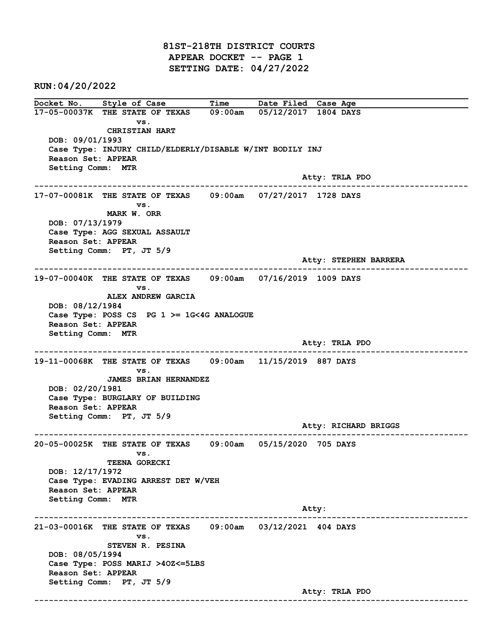81ST-218TH DISTRICT COURTS APPEAR DOCKET -- PAGE 1 SETTING DATE: 04/27/2022

RUN:04/20/2022

Docket No. Style of Case Time Date Filed Case Age 17-05-00037K THE STATE OF TEXAS 09:00am 05/12/2017 1804 DAYS vs. CHRISTIAN HART DOB: 09/01/1993 Case Type: INJURY CHILD/ELDERLY/DISABLE W/INT BODILY INJ Reason Set: APPEAR Setting Comm: MTR Atty: TRLA PDO ------------------------------------------------------------------------------------------------------------------------ 17-07-00081K THE STATE OF TEXAS 09:00am 07/27/2017 1728 DAYS vs. MARK W. ORR DOB: 07/13/1979 Case Type: AGG SEXUAL ASSAULT Reason Set: APPEAR Setting Comm: PT, JT 5/9 Atty: STEPHEN BARRERA ------------------------------------------------------------------------------------------------------------------------ 19-07-00040K THE STATE OF TEXAS 09:00am 07/16/2019 1009 DAYS vs. ALEX ANDREW GARCIA DOB: 08/12/1984 Case Type: POSS CS PG  $1$  >= 1G<4G ANALOGUE Reason Set: APPEAR Setting Comm: MTR Atty: TRLA PDO ------------------------------------------------------------------------------------------------------------------------ 19-11-00068K THE STATE OF TEXAS 09:00am 11/15/2019 887 DAYS vs. JAMES BRIAN HERNANDEZ DOB: 02/20/1981 Case Type: BURGLARY OF BUILDING Reason Set: APPEAR Setting Comm: PT, JT 5/9 Atty: RICHARD BRIGGS ------------------------------------------------------------------------------------------------------------------------ 20-05-00025K THE STATE OF TEXAS 09:00am 05/15/2020 705 DAYS vs. TEENA GORECKI DOB: 12/17/1972 Case Type: EVADING ARREST DET W/VEH Reason Set: APPEAR Setting Comm: MTR example of the contract of the contract of the contract of the contract of the contract of the contract of the contract of the contract of the contract of the contract of the contract of the contract of the contract of the ------------------------------------------------------------------------------------------------------------------------ 21-03-00016K THE STATE OF TEXAS 09:00am 03/12/2021 404 DAYS vs. STEVEN R. PESINA DOB: 08/05/1994 Case Type: POSS MARIJ >4OZ<=5LBS Reason Set: APPEAR Setting Comm: PT, JT 5/9 Atty: TRLA PDO ------------------------------------------------------------------------------------------------------------------------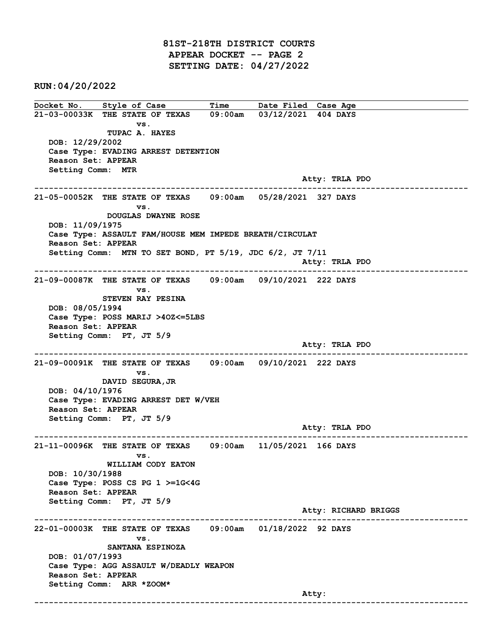81ST-218TH DISTRICT COURTS APPEAR DOCKET -- PAGE 2 SETTING DATE: 04/27/2022

RUN:04/20/2022

Docket No. Style of Case Time Date Filed Case Age 21-03-00033K THE STATE OF TEXAS 09:00am 03/12/2021 404 DAYS vs. TUPAC A. HAYES DOB: 12/29/2002 Case Type: EVADING ARREST DETENTION Reason Set: APPEAR Setting Comm: MTR Atty: TRLA PDO ------------------------------------------------------------------------------------------------------------------------ 21-05-00052K THE STATE OF TEXAS 09:00am 05/28/2021 327 DAYS vs. DOUGLAS DWAYNE ROSE DOB: 11/09/1975 Case Type: ASSAULT FAM/HOUSE MEM IMPEDE BREATH/CIRCULAT Reason Set: APPEAR Setting Comm: MTN TO SET BOND, PT 5/19, JDC 6/2, JT 7/11 Atty: TRLA PDO ------------------------------------------------------------------------------------------------------------------------ 21-09-00087K THE STATE OF TEXAS 09:00am 09/10/2021 222 DAYS vs. STEVEN RAY PESINA DOB: 08/05/1994 Case Type: POSS MARIJ >4OZ<=5LBS Reason Set: APPEAR Setting Comm: PT, JT 5/9 Atty: TRLA PDO ------------------------------------------------------------------------------------------------------------------------ 21-09-00091K THE STATE OF TEXAS 09:00am 09/10/2021 222 DAYS vs. DAVID SEGURA,JR DOB: 04/10/1976 Case Type: EVADING ARREST DET W/VEH Reason Set: APPEAR Setting Comm: PT, JT 5/9 Atty: TRLA PDO ------------------------------------------------------------------------------------------------------------------------ 21-11-00096K THE STATE OF TEXAS 09:00am 11/05/2021 166 DAYS vs. WILLIAM CODY EATON DOB: 10/30/1988 Case Type: POSS CS PG 1 >=1G<4G Reason Set: APPEAR Setting Comm: PT, JT 5/9 Atty: RICHARD BRIGGS ------------------------------------------------------------------------------------------------------------------------ 22-01-00003K THE STATE OF TEXAS 09:00am 01/18/2022 92 DAYS vs. SANTANA ESPINOZA DOB: 01/07/1993 Case Type: AGG ASSAULT W/DEADLY WEAPON Reason Set: APPEAR Setting Comm: ARR \*ZOOM\* and the control of the control of the control of the control of the control of the control of the control of the control of the control of the control of the control of the control of the control of the control of the cont ------------------------------------------------------------------------------------------------------------------------